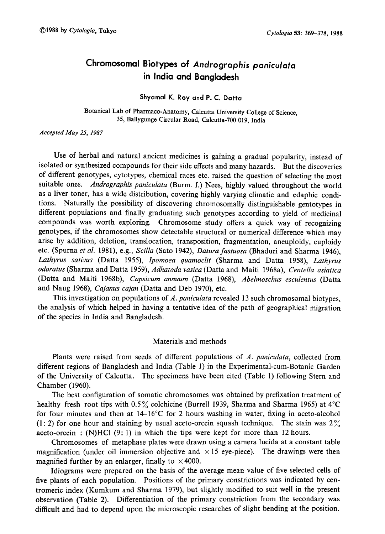# Chromosomal Biotypes of Andrographis paniculata in India and Bangladesh

### Shyamal K. Roy and P. C. Datta

Botanical Lab of Pharmaco-Anatomy, Calcutta University College of Science , 35, Ballygunge Circular Road, Calcutta-700 019, India

Accepted May 25, 1987

Use of herbal and natural ancient medicines is gaining a gradual popularity, instead of isolated or synthesized compounds for their side effects and many hazards. But the discoveries of different genotypes, cytotypes, chemical races etc. raised the question of selecting the most suitable ones. Andrographis paniculata (Burm. f.) Nees, highly valued throughout the world as a liver toner, has a wide distribution, covering highly varying climatic and edaphic condi tions. Naturally the possibility of discovering chromosomally distinguishable gentotypes in different populations and finally graduating such genotypes according to yield of medicinal compounds was worth exploring. Chromosome study offers a quick way of recognizing genotypes, if the chromosomes show detectable structural or numerical difference which may arise by addition, deletion, translocation, transposition, fragmentation, aneuploidy, euploidy etc. (Spurna et al. 1981), e.g., Scilla (Sato 1942), Datura fastuosa (Bhaduri and Sharma 1946), Lathyrus sativus (Datta 1955), Ipomoea quamoclit (Sharma and Datta 1958), Lathyrus odoratus (Sharma and Datta 1959), Adhatoda vasica (Datta and Maiti 1968a), Centella asialica (Datta and Maiti 1968b), Capsicum annuum (Datta 1968), Abelmoschus esculentus (Datta and Naug 1968), Cajanus cajan (Datta and Deb 1970), etc.

This investigation on populations of A. paniculata revealed 13 such chromosomal biotypes, the analysis of which helped in having a tentative idea of the path of geographical migration of the species in India and Bangladesh.

## Materials and methods

Plants were raised from seeds of different populations of A. paniculata, collected from different regions of Bangladesh and India (Table 1) in the Experimental-cum-Botanic Garden of the University of Calcutta. The specimens have been cited (Table 1) following Stern and Chamber (1960).

The best configuration of somatic chromosomes was obtained by prefixation treatment of healthy fresh root tips with  $0.5\%$  colchicine (Burrell 1939, Sharma and Sharma 1965) at  $4^{\circ}$ C for four minutes and then at  $14-16^{\circ}$ C for 2 hours washing in water, fixing in aceto-alcohol  $(1:2)$  for one hour and staining by usual aceto-orcein squash technique. The stain was  $2\%$ aceto-orcein:  $(N)$ HCl  $(9:1)$  in which the tips were kept for more than 12 hours.

Chromosomes of metaphase plates were drawn using a camera lucida at a constant table magnification (under oil immersion objective and  $\times$  15 eye-piece). The drawings were then magnified further by an enlarger, finally to  $\times$  4000.

Idiograms were prepared on the basis of the average mean value of five selected cells of five plants of each population. Positions of the primary constrictions was indicated by cen tromeric index (Kumkum and Sharma 1979), but slightly modified to suit well in the present observation (Table 2). Differentiation of the primary constriction from the secondary was difficult and had to depend upon the microscopic researches of slight bending at the position.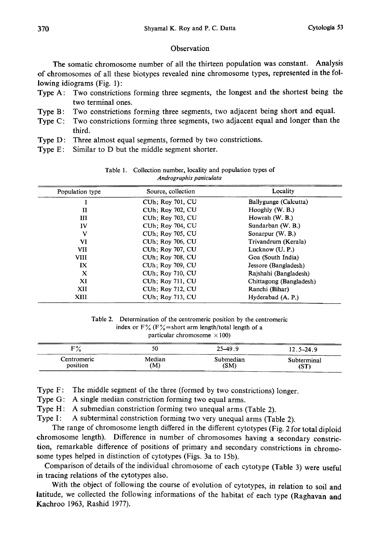## Observation

The somatic chromosome number of all the thirteen population was constant. Analysis of chromosomes of all these biotypes revealed nine chromosome types, represented in the fol lowing idiograms (Fig. 1):

- Type A: Two constrictions forming three segments, the longest and the shortest being the two terminal ones.
- Type B: Two constrictions forming three segments, two adjacent being short and equal.
- Type C: Two constrictions forming three segments, two adjacent equal and longer than the third.
- Type D: Three almost equal segments, formed by two constrictions.
- Type E: Similar to D but the middle segment shorter.

| Population type | Source, collection       | Locality                |
|-----------------|--------------------------|-------------------------|
|                 | <b>CUh</b> ; Roy 701, CU | Ballygunge (Calcutta)   |
| $\mathbf{I}$    | <b>CUh</b> ; Roy 702, CU | Hooghly (W. B.)         |
| Ш               | <b>CUh</b> ; Roy 703, CU | Howrah (W. B.)          |
| IV              | CUh; Roy 704, CU         | Sundarban (W. B.)       |
| v               | CUh; Roy 705, CU         | Sonarpur (W. B.)        |
| VI              | <b>CUh: Roy 706, CU</b>  | Trivandrum (Kerala)     |
| <b>VII</b>      | CUh; Roy 707, CU         | Lucknow (U.P.)          |
| <b>VIII</b>     | <b>CUh</b> : Roy 708, CU | Goa (South India)       |
| IX              | <b>CUh</b> ; Roy 709, CU | Jessore (Bangladesh)    |
| X               | CUh; Roy 710, CU         | Rajshahi (Bangladesh)   |
| XI              | <b>CUh</b> : Roy 711, CU | Chittagong (Bangladesh) |
| XII             | <b>CUh</b> ; Roy 712, CU | Ranchi (Bihar)          |
| XIII            | <b>CUh: Roy 713, CU</b>  | Hyderabad (A. P.)       |
|                 |                          |                         |

Table 1. Collection number, locality and population types of Andrographis paniculata

| Table 2. Determination of the centromeric position by the centromeric |
|-----------------------------------------------------------------------|
| index or $F\%$ ( $F\%$ = short arm length/total length of a           |
| particular chromosome $\times$ 100)                                   |

| <u> The Communication of the Communication of the Communication of the Communication of the Communication of the Co</u><br><b>E0</b><br>ΖΩ | 50     | $25-49.9$ | $12.5 - 24.9$ |
|--------------------------------------------------------------------------------------------------------------------------------------------|--------|-----------|---------------|
| Centromeric                                                                                                                                | Median | Submedian | Subterminal   |
| position                                                                                                                                   | (M)    | (SM)      | (ST           |

Type F: The middle segment of the three (formed by two constrictions) longer.

Type G: A single median constriction forming two equal arms.

Type H: A submedian constriction forming two unequal arms (Table 2).

Type I: A subterminal constriction forming two very unequal arms (Table 2).

The range of chromosome length differed in the different cytotypes (Fig. 2 for total diploid chromosome length). Difference in number of chromosomes having a secondary constric tion, remarkable difference of positions of primary and secondary constrictions in chromo some types helped in distinction of cytotypes (Figs. 3a to 15b).

Comparison of details of the individual chromosome of each cytotype (Table 3) were useful in tracing relations of the cytotypes also.

With the object of following the course of evolution of cytotypes, in relation to soil and latitude, we collected the following informations of the habitat of each type (Raghavan and Kachroo 1963, Rashid 1977).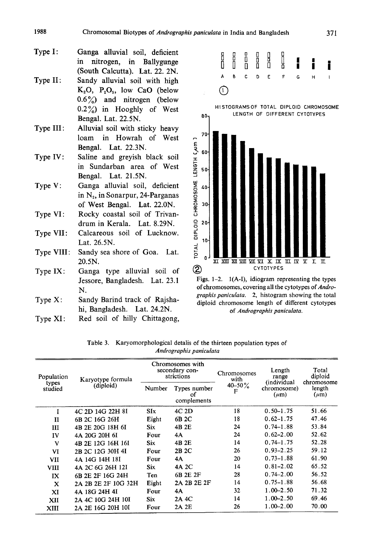- Type I: Ganga alluvial soil, deficient in nitrogen, in Ballygunge (South Calcutta). Lat. 22. 2N.
- Type II: Sandy alluvial soil with high  $K_2O$ ,  $P_2O_5$ , low CaO (below  $0.6\%$ ) and nitrogen (below  $0.2\%$ ) in Hooghly of West Bengal. Lat. 22.5N.
- Type III: Alluvial soil with sticky heavy loam in Howrah of West Bengal. Lat. 22.3N.
- Type IV: Saline and greyish black soil in Sundarban area of West Bengal. Lat. 21.5N.
- Type V: Ganga alluvial soil, deficient in  $N<sub>2</sub>$ , in Sonarpur, 24-Parganas of West Bengal. Lat. 22.ON.
- Type VI: Rocky coastal soil of Trivandrum in Kerala. Lat. 8.29N.
- Type VII: Calcareous soil of Lucknow. Lat. 26.5N.
- Type VIII: Sandy sea shore of Goa. Lat. 20.5N.
- Type IX: Ganga type alluvial soil of Jessore, Bangladesh. Lat. 23.1 N.
- Type X: Sandy Barind track of Rajshahi, Bangladesh. Lat. 24.2N.
- Type XI: Red soil of hilly Chittagong,



Figs. 1-2. 1(A-I), idiogram representing the types of chromosomes, covering all the cytotypes of Andro graphis paniculata. 2, histogram showing the total diploid chromosome length of different cytotypes of Andrographis paniculata.

|                         | Table 3. Karyomorphological detalis of the thirteen population types of |  |  |  |  |  |  |
|-------------------------|-------------------------------------------------------------------------|--|--|--|--|--|--|
| Andrographis paniculata |                                                                         |  |  |  |  |  |  |

| Population<br>types<br>studied | Karyotype formula   | Chromosomes with<br>secondary con-<br>strictions |                                   | Chromosomes<br>with | Length<br>range                                | Total<br>diploid                  |
|--------------------------------|---------------------|--------------------------------------------------|-----------------------------------|---------------------|------------------------------------------------|-----------------------------------|
|                                | (diploid)           | Number                                           | Types number<br>οf<br>complements | $40 - 50\%$<br>F    | <i>(individual</i><br>chromosome)<br>$(\mu m)$ | chromosome<br>length<br>$(\mu m)$ |
| I                              | 4C 2D 14G 22H 8I    | SIx                                              | $4C$ 2D                           | 18                  | $0.50 - 1.75$                                  | 51.66                             |
| и                              | 6B 2C 16G 26H       | Eight                                            | 6B 2C                             | 18                  | $0.62 - 1.75$                                  | 47.46                             |
| Ш                              | 4B 2E 20G 18H 6I    | Six                                              | 4B 2E                             | 24                  | $0.74 - 1.88$                                  | 53.84                             |
| IV                             | 4A 20G 20H 6I       | Four                                             | 4Α                                | 24                  | $0.62 - 2.00$                                  | 52.62                             |
| V                              | 4B 2E 12G 16H 16I   | <b>Six</b>                                       | 4B 2E                             | 14                  | $0.74 - 1.75$                                  | 52.28                             |
| VI                             | 2B 2C 12G 30H 4I    | Four                                             | 2B 2C                             | 26                  | $0.93 - 2.25$                                  | 59.12                             |
| VII                            | 4A 14G 14H 18I      | Four                                             | 4A                                | 20                  | $0.73 - 1.88$                                  | 61.90                             |
| VIII                           | 4A 2C 6G 26H 12I    | Six                                              | 4A 2C                             | 14                  | $0.81 - 2.02$                                  | 65.52                             |
| IX                             | 6B 2E 2F 16G 24H    | Ten                                              | 6B 2E 2F                          | 28                  | $0.74 - 2.00$                                  | 56.52                             |
| x                              | 2A 2B 2E 2F 10G 32H | Eight                                            | 2A 2B 2E 2F                       | 14                  | $0.75 - 1.88$                                  | 56.68                             |
| XI                             | 4A 18G 24H 4I       | Four                                             | 4A                                | 32                  | $1.00 - 2.50$                                  | 71.32                             |
| XII                            | 2A 4C 10G 24H 10I   | <b>Six</b>                                       | 2A 4C                             | 14                  | $1.00 - 2.50$                                  | 69.46                             |
| XIII                           | 2A 2E 16G 20H 10I   | Four                                             | 2A 2E                             | 26                  | 1.00-2.00                                      | 70.00                             |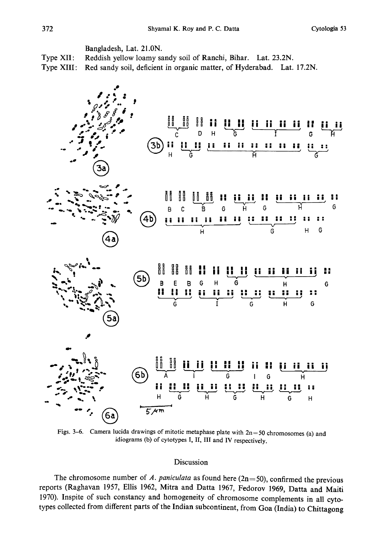Bangladesh, Lat. 21.ON.

Type XII: Reddish yellow loamy sandy soil of Ranchi, Bihar. Lat. 23.2N.

Type XIII: Red sandy soil, deficient in organic matter, of Hyderabad. Lat. 17.2N.



Figs. 3-6. Camera lucida drawings of mitotic metaphase plate with  $2n=50$  chromosomes (a) and idiograms (b) of cytotypes I, II, III and IV respectively.

# Discussion

The chromosome number of A. paniculata as found here ( $2n=50$ ), confirmed the previous reports (Raghavan 1957, Ellis 1962, Mitra and Datta 1967, Fedorov 1969 , Datta and Maiti 1970). Inspite of such constancy and homogeneity of chromosome complements in all cyto types collected from different parts of the Indian subcontinent, from Goa (India) to Chittagong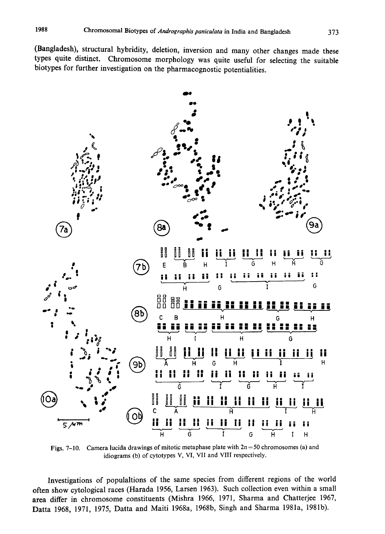(Bangladesh), structural hybridity, deletion, inversion and many other changes made these types quite distinct. Chromosome morphology was quite useful for selecting the suitable biotypes for further investigation on the pharmacognostic potentialities .



Figs. 7-10. Camera lucida drawings of mitotic metaphase plate with  $2n=50$  chromosomes (a) and idiograms (b) of cytotypes V, VI, VII and VIII respectively.

Investigations of populaltions of the same species from different regions of the world often show cytological races (Harada 1956, Larsen 1963). Such collection even within a small area differ in chromosome constituents (Mishra 1966, 1971, Sharma and Chatterjee 1967, Datta 1968, 1971, 1975, Datta and Maiti 1968a, 1968b, Singh and Sharma 1981a, 1981b).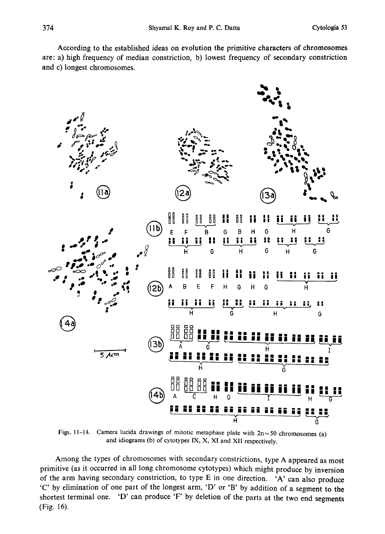According to the established ideas on evolution the primitive characters of chromosomes are:a) high frequency of median constriction; b) lowest frequency of secondary constriction and c) longest chromosomes.



Figs. 11-14. Camera lucida drawings of mitotic metaphase plate with  $2n=50$  chromosomes (a) and idiograms (b) of cytotypes IX, X, XI and XII respectively.

Among the types of chromosomes with secondary constrictions, type A appeared as most primitive (as it occurred in all long chromosome cytotypes) which might produce by inversion of the arm having secondary constriction, to type E in one direction. 'A' can also produce C' by elimination of one part of the longest arm, 'D' or 'B' by addition of a segment to the shortest terminal one. 'D' can produce 'F' by deletion of the parts at the two end segments (Fig. 16).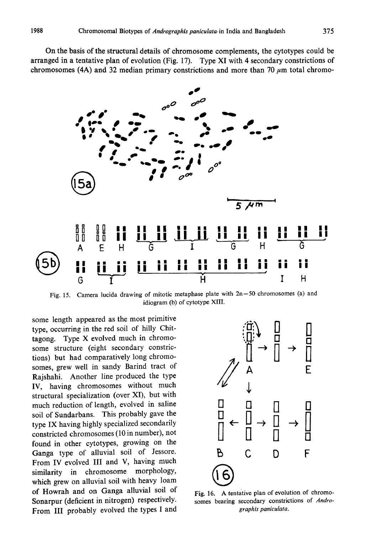On the basis of the structural details of chromosome complements, the cytotypes could be arranged in a tentative plan of evolution (Fig. 17). Type XI with 4 secondary constrictions of chromosomes (4A) and 32 median primary constrictions and more than 70  $\mu$ m total chromo-



Fig. 15. Camera lucida drawing of mitotic metaphase plate with  $2n=50$  chromosomes (a) and idiogram (b) of cytotype XIII.

some length appeared as the most primitive type, occurring in the red soil of hilly Chit tagong. Type X evolved much in chromo some structure (eight secondary constric tions) but had comparatively long chromo somes, grew well in sandy Barind tract of Rajshahi. Another line produced the type IV, having chromosomes without much structural specialization (over XI), but with much reduction of length, evolved in saline soil of Sundarbans. This probably gave the type IX having highly specialized secondarily constricted chromosomes (10 in number), not found in other cytotypes, growing on the Ganga type of alluvial soil of Jessore. From IV evolved III and V, having much similarity in chromosome morphology, which grew on alluvial soil with heavy loam of Howrah and on Ganga alluvial soil of Sonarpur (deficient in nitrogen) respectively. From III probably evolved the types I and



Fig. 16. A tentative plan of evolution of chromo somes bearing secondary constrictions of Andrographis paniculata.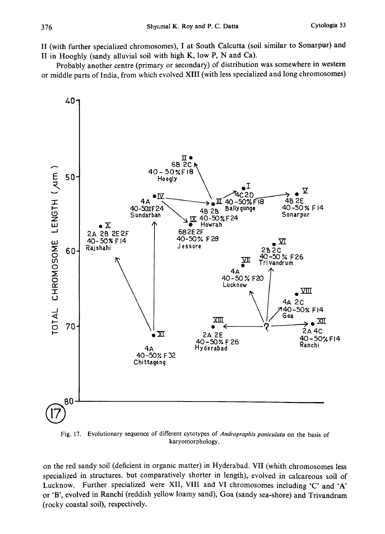II (with further specialized chromosomes), I at South Calcutta (soil similar to Sonarpur) and II in Hooghly (sandy alluvial soil with high K, low P, N and Ca).

Probably another centre (primary or secondary) of distribution was somewhere in western or middle parts of India, from which evolved XIII (with less specialized and long chromosomes)



Fig. 17. Evolutionary sequence of different cytotypes of Andrographis paniculata on the basis of karyomorphology.

on the red sandy soil (deficient in organic matter) in Hyderabad. VII (whith chromosomes less specialized in structures, but comparatively shorter in length), evolved in calcareous soil of Lucknow. Further specialized were XII, VIII and VI chromosomes including 'C' and 'A' or 'B', evolved in Ranchi (reddish yellow loamy sand), Goa (sandy sea-shore) and Trivandrum (rocky coastal soil), respectively.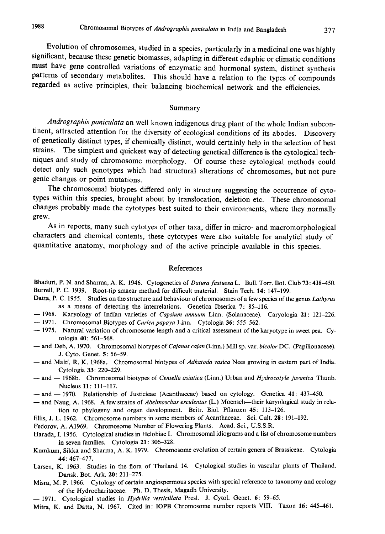Evolution of chromosomes, studied in a species, particularly in a medicinal one was highly significant, because these genetic biomasses, adapting in different edaphic or climatic condition must have gene controlled variations of enzymatic and hormonal system, distinct synthesi patterns of secondary metabolites. This should have a relation to the types of compounds regarded as active principles, their balancing biochemical network and the efficiencies .

#### Summary

Andrographis paniculata an well known indigenous drug plant of the whole Indian subcontinent, attracted attention for the diversity of ecological conditions of its abodes. Discover of genetically distinct types, if chemically distinct , would certainly help in the selection of best strains. The simplest and quickest way of detecting genetical difference is the cytological tech niques and study of chromosome morphology. Of course these cytological methods could detect only such genotypes which had structural alterations of chromosomes , but not pure genic changes or point mutations.

The chromosomal biotypes differed only in structure suggesting the occurrence of cyto types within this species, brought about by translocation , deletion etc. These chromosomal changes probably made the cytotypes best suited to their environments, where they normall grew.

As in reports, many such cytotyes of other taxa, differ in micro- and macromorphological characters and chemical contents, these cytotypes were also suitable for analyticl study of quantitative anatomy, morphology and of the active principle available in this species.

#### References

Bhaduri, P. N. and Sharma, A. K. 1946. Cytogenetics of *Datura fastuosa* L. Bull. Torr. Bot. Club 73: 438-450. Burrell, P. C. 1939. Root-tip smaear method for difficult material. Stain Tech. 14: 147-199.

- Datta, P. C. 1955. Studies on the structure and behaviour of chromosomes of a few species of the genus Lathyrus as a means of detecting the interrelations. Genetica Ibserica 7: 85-116.
- 1968. Karyology of Indian varieties of Capsium annuum Linn. (Solanaceae). Caryologia 21: 121-226.
- 1971. Chromosomal Biotypes of *Carica papaya* Linn. Cytologia 36: 555–562.
- -- 1975. Natural variation of chromosome length and a critical assessment of the karyotype in sweet pea. Cytologia 40: 561-568.
- and Deb, A. 1970. Chromosomal biotypes of Cajanus cajan (Linn.) Mill sp. var. bicolor DC. (Papilionaceae). J. Cyto. Genet. 5: 56-59.
- and Maiti, R. K. 1968a. Chromosomal biotypes of Adhatoda vasica Nees growing in eastern part of India. Cytologia 33: 220-229.
- and 1968b. Chromosomal biotypes of Centella asiatica (Linn.) Urban and Hydrocotyle javanica Thunb. Nucleus 11: 111-117.
- and 1970. Relationship of Justicieae (Acanthaceae) based on cytology. Genetica 41: 437-450.
- and Naug, A. 1968. A few strains of Abelmoschus esculentus (L.) Moensch-their karyological study in relation to phylogeny and organ development. Beitr. Biol. Pflanzen 45: 113-126.
- Ellis, J. L. 1962. Chromosome numbers in some members of Acanthaceae. Sci. Cult. 28: 191-192.
- Fedorov, A. A1969. Chromosome Number of Flowering Plants. Acad. Sci., U.S.S.R.
- Harada, 1. 1956. Cytological studies in Helobiae I. Chromosomal idiograms and a list of chromosome numbers in seven families. Cytologia 21: 306-328.
- Kumkum, Sikka and Sharma, A. K. 1979. Chromosome evolution of certain genera of Brassiceae. Cytologia 44: 467-477.
- Larsen, K. 1963. Studies in the flora of Thailand 14. Cytological studies in vascular plants of Thailand. Dansk. Bot. Ark. 20: 211-275.
- Misra, M. P. 1966. Cytology of certain angiospermous species with special reference to taxonomy and ecology of the Hydrocharitaceae. Ph. D. Thesis, Magadh University.
- 1971. Cytological studies in Hydrilla verticillata Presl. J. Cytol. Genet. 6: 59-65.
- Mitra, K. and Datta, N. 1967. Cited in: IOPB Chromosome number reports VIII. Taxon 16: 445-461.